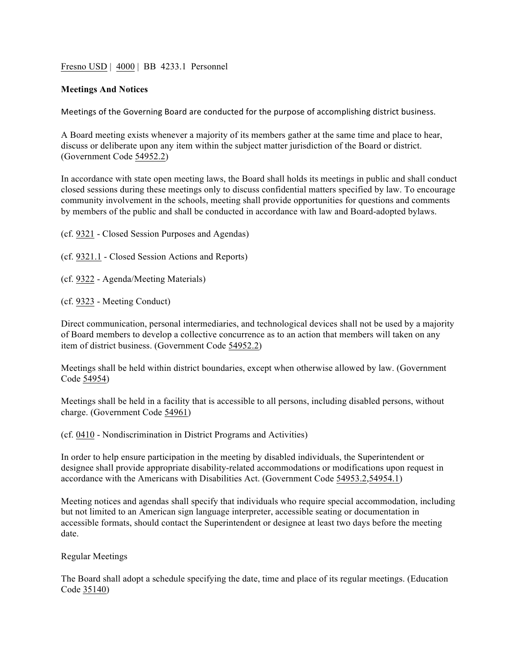Fresno USD | 4000 | BB 4233.1 Personnel

#### **Meetings And Notices**

Meetings of the Governing Board are conducted for the purpose of accomplishing district business.

A Board meeting exists whenever a majority of its members gather at the same time and place to hear, discuss or deliberate upon any item within the subject matter jurisdiction of the Board or district. (Government Code 54952.2)

In accordance with state open meeting laws, the Board shall holds its meetings in public and shall conduct closed sessions during these meetings only to discuss confidential matters specified by law. To encourage community involvement in the schools, meeting shall provide opportunities for questions and comments by members of the public and shall be conducted in accordance with law and Board-adopted bylaws.

(cf. 9321 - Closed Session Purposes and Agendas)

(cf. 9321.1 - Closed Session Actions and Reports)

(cf. 9322 - Agenda/Meeting Materials)

(cf. 9323 - Meeting Conduct)

Direct communication, personal intermediaries, and technological devices shall not be used by a majority of Board members to develop a collective concurrence as to an action that members will taken on any item of district business. (Government Code 54952.2)

Meetings shall be held within district boundaries, except when otherwise allowed by law. (Government Code 54954)

Meetings shall be held in a facility that is accessible to all persons, including disabled persons, without charge. (Government Code 54961)

(cf. 0410 - Nondiscrimination in District Programs and Activities)

In order to help ensure participation in the meeting by disabled individuals, the Superintendent or designee shall provide appropriate disability-related accommodations or modifications upon request in accordance with the Americans with Disabilities Act. (Government Code 54953.2,54954.1)

Meeting notices and agendas shall specify that individuals who require special accommodation, including but not limited to an American sign language interpreter, accessible seating or documentation in accessible formats, should contact the Superintendent or designee at least two days before the meeting date.

Regular Meetings

The Board shall adopt a schedule specifying the date, time and place of its regular meetings. (Education Code 35140)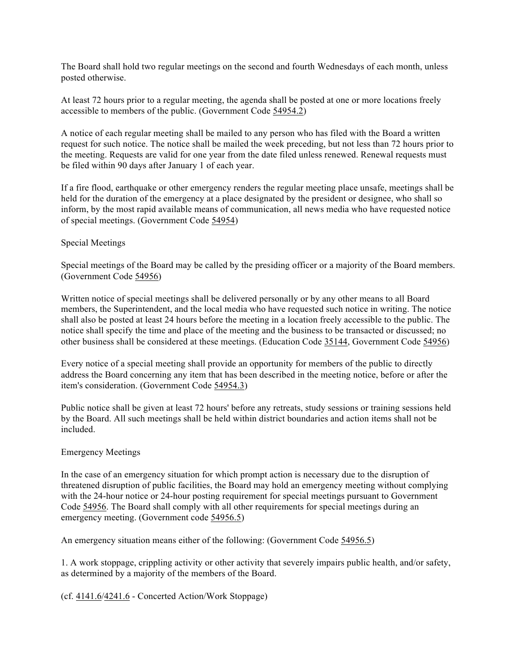The Board shall hold two regular meetings on the second and fourth Wednesdays of each month, unless posted otherwise.

At least 72 hours prior to a regular meeting, the agenda shall be posted at one or more locations freely accessible to members of the public. (Government Code 54954.2)

A notice of each regular meeting shall be mailed to any person who has filed with the Board a written request for such notice. The notice shall be mailed the week preceding, but not less than 72 hours prior to the meeting. Requests are valid for one year from the date filed unless renewed. Renewal requests must be filed within 90 days after January 1 of each year.

If a fire flood, earthquake or other emergency renders the regular meeting place unsafe, meetings shall be held for the duration of the emergency at a place designated by the president or designee, who shall so inform, by the most rapid available means of communication, all news media who have requested notice of special meetings. (Government Code 54954)

## Special Meetings

Special meetings of the Board may be called by the presiding officer or a majority of the Board members. (Government Code 54956)

Written notice of special meetings shall be delivered personally or by any other means to all Board members, the Superintendent, and the local media who have requested such notice in writing. The notice shall also be posted at least 24 hours before the meeting in a location freely accessible to the public. The notice shall specify the time and place of the meeting and the business to be transacted or discussed; no other business shall be considered at these meetings. (Education Code 35144, Government Code 54956)

Every notice of a special meeting shall provide an opportunity for members of the public to directly address the Board concerning any item that has been described in the meeting notice, before or after the item's consideration. (Government Code 54954.3)

Public notice shall be given at least 72 hours' before any retreats, study sessions or training sessions held by the Board. All such meetings shall be held within district boundaries and action items shall not be included.

#### Emergency Meetings

In the case of an emergency situation for which prompt action is necessary due to the disruption of threatened disruption of public facilities, the Board may hold an emergency meeting without complying with the 24-hour notice or 24-hour posting requirement for special meetings pursuant to Government Code 54956. The Board shall comply with all other requirements for special meetings during an emergency meeting. (Government code 54956.5)

An emergency situation means either of the following: (Government Code 54956.5)

1. A work stoppage, crippling activity or other activity that severely impairs public health, and/or safety, as determined by a majority of the members of the Board.

(cf. 4141.6/4241.6 - Concerted Action/Work Stoppage)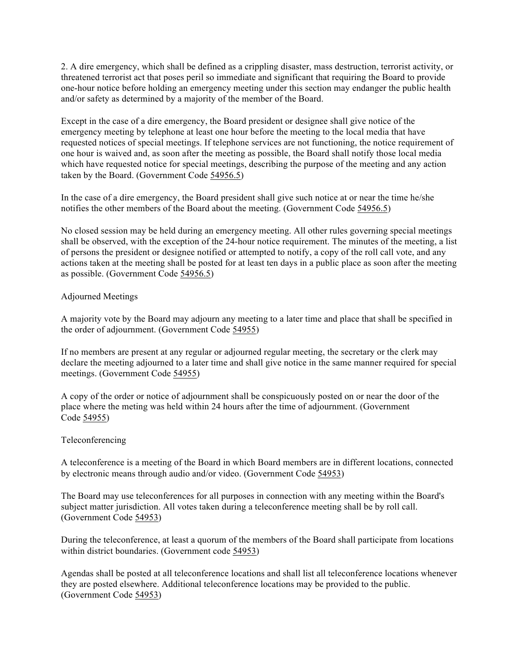2. A dire emergency, which shall be defined as a crippling disaster, mass destruction, terrorist activity, or threatened terrorist act that poses peril so immediate and significant that requiring the Board to provide one-hour notice before holding an emergency meeting under this section may endanger the public health and/or safety as determined by a majority of the member of the Board.

Except in the case of a dire emergency, the Board president or designee shall give notice of the emergency meeting by telephone at least one hour before the meeting to the local media that have requested notices of special meetings. If telephone services are not functioning, the notice requirement of one hour is waived and, as soon after the meeting as possible, the Board shall notify those local media which have requested notice for special meetings, describing the purpose of the meeting and any action taken by the Board. (Government Code 54956.5)

In the case of a dire emergency, the Board president shall give such notice at or near the time he/she notifies the other members of the Board about the meeting. (Government Code 54956.5)

No closed session may be held during an emergency meeting. All other rules governing special meetings shall be observed, with the exception of the 24-hour notice requirement. The minutes of the meeting, a list of persons the president or designee notified or attempted to notify, a copy of the roll call vote, and any actions taken at the meeting shall be posted for at least ten days in a public place as soon after the meeting as possible. (Government Code 54956.5)

## Adjourned Meetings

A majority vote by the Board may adjourn any meeting to a later time and place that shall be specified in the order of adjournment. (Government Code 54955)

If no members are present at any regular or adjourned regular meeting, the secretary or the clerk may declare the meeting adjourned to a later time and shall give notice in the same manner required for special meetings. (Government Code 54955)

A copy of the order or notice of adjournment shall be conspicuously posted on or near the door of the place where the meting was held within 24 hours after the time of adjournment. (Government Code 54955)

## Teleconferencing

A teleconference is a meeting of the Board in which Board members are in different locations, connected by electronic means through audio and/or video. (Government Code 54953)

The Board may use teleconferences for all purposes in connection with any meeting within the Board's subject matter jurisdiction. All votes taken during a teleconference meeting shall be by roll call. (Government Code 54953)

During the teleconference, at least a quorum of the members of the Board shall participate from locations within district boundaries. (Government code 54953)

Agendas shall be posted at all teleconference locations and shall list all teleconference locations whenever they are posted elsewhere. Additional teleconference locations may be provided to the public. (Government Code 54953)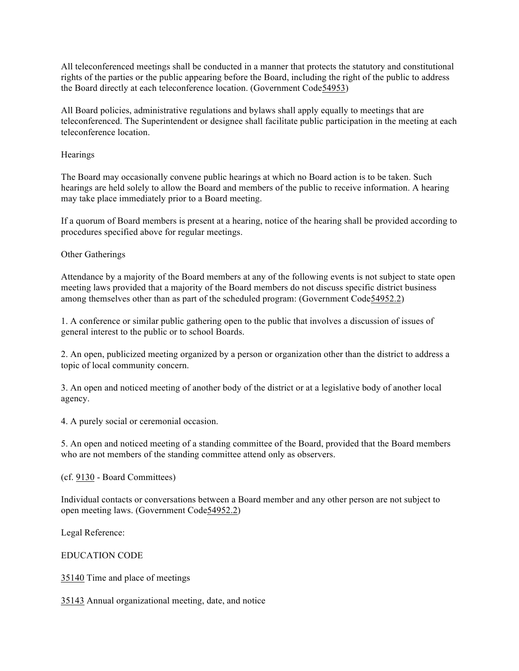All teleconferenced meetings shall be conducted in a manner that protects the statutory and constitutional rights of the parties or the public appearing before the Board, including the right of the public to address the Board directly at each teleconference location. (Government Code54953)

All Board policies, administrative regulations and bylaws shall apply equally to meetings that are teleconferenced. The Superintendent or designee shall facilitate public participation in the meeting at each teleconference location.

**Hearings** 

The Board may occasionally convene public hearings at which no Board action is to be taken. Such hearings are held solely to allow the Board and members of the public to receive information. A hearing may take place immediately prior to a Board meeting.

If a quorum of Board members is present at a hearing, notice of the hearing shall be provided according to procedures specified above for regular meetings.

Other Gatherings

Attendance by a majority of the Board members at any of the following events is not subject to state open meeting laws provided that a majority of the Board members do not discuss specific district business among themselves other than as part of the scheduled program: (Government Code54952.2)

1. A conference or similar public gathering open to the public that involves a discussion of issues of general interest to the public or to school Boards.

2. An open, publicized meeting organized by a person or organization other than the district to address a topic of local community concern.

3. An open and noticed meeting of another body of the district or at a legislative body of another local agency.

4. A purely social or ceremonial occasion.

5. An open and noticed meeting of a standing committee of the Board, provided that the Board members who are not members of the standing committee attend only as observers.

(cf. 9130 - Board Committees)

Individual contacts or conversations between a Board member and any other person are not subject to open meeting laws. (Government Code54952.2)

Legal Reference:

EDUCATION CODE

35140 Time and place of meetings

35143 Annual organizational meeting, date, and notice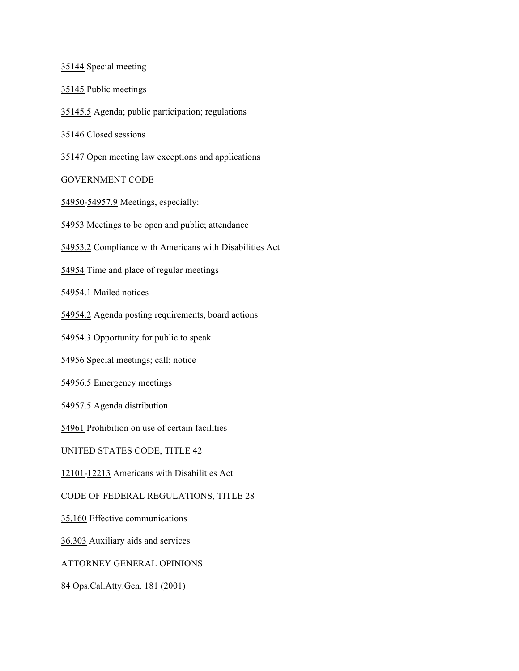35144 Special meeting

35145 Public meetings

35145.5 Agenda; public participation; regulations

35146 Closed sessions

35147 Open meeting law exceptions and applications

GOVERNMENT CODE

54950-54957.9 Meetings, especially:

54953 Meetings to be open and public; attendance

54953.2 Compliance with Americans with Disabilities Act

54954 Time and place of regular meetings

54954.1 Mailed notices

54954.2 Agenda posting requirements, board actions

54954.3 Opportunity for public to speak

54956 Special meetings; call; notice

54956.5 Emergency meetings

54957.5 Agenda distribution

54961 Prohibition on use of certain facilities

UNITED STATES CODE, TITLE 42

12101-12213 Americans with Disabilities Act

CODE OF FEDERAL REGULATIONS, TITLE 28

35.160 Effective communications

36.303 Auxiliary aids and services

ATTORNEY GENERAL OPINIONS

84 Ops.Cal.Atty.Gen. 181 (2001)